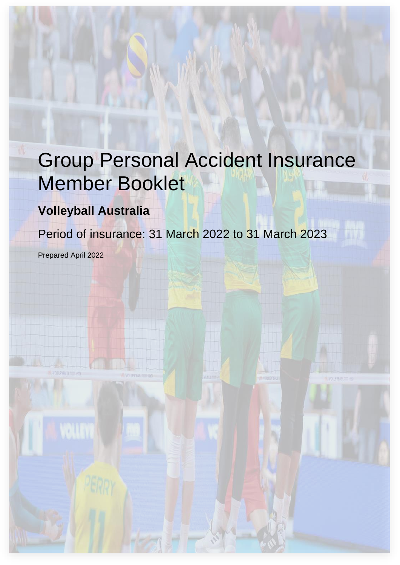# Group Personal Accident Insurance Member Booklet

## **Volleyball Australia**

Period of insurance: 31 March 2022 to 31 March 2023

Prepared April 2022

VALIT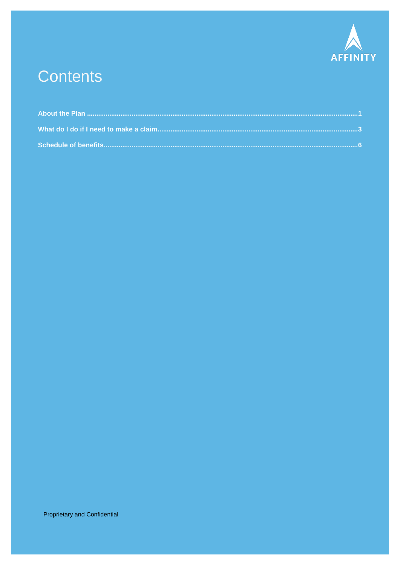

## **Contents**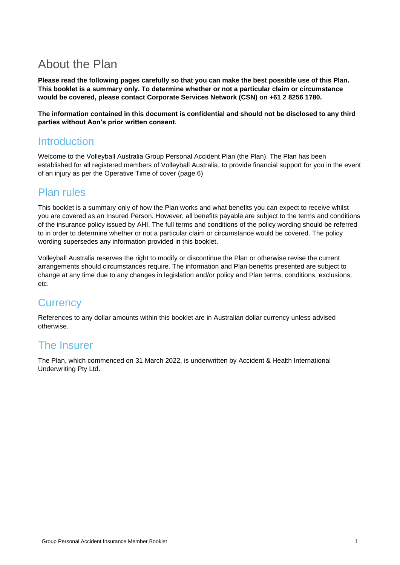## <span id="page-2-0"></span>About the Plan

**Please read the following pages carefully so that you can make the best possible use of this Plan. This booklet is a summary only. To determine whether or not a particular claim or circumstance would be covered, please contact Corporate Services Network (CSN) on +61 2 8256 1780.**

**The information contained in this document is confidential and should not be disclosed to any third parties without Aon's prior written consent.**

## Introduction

Welcome to the Volleyball Australia Group Personal Accident Plan (the Plan). The Plan has been established for all registered members of Volleyball Australia, to provide financial support for you in the event of an injury as per the Operative Time of cover (page 6)

## Plan rules

This booklet is a summary only of how the Plan works and what benefits you can expect to receive whilst you are covered as an Insured Person. However, all benefits payable are subject to the terms and conditions of the insurance policy issued by AHI. The full terms and conditions of the policy wording should be referred to in order to determine whether or not a particular claim or circumstance would be covered. The policy wording supersedes any information provided in this booklet.

Volleyball Australia reserves the right to modify or discontinue the Plan or otherwise revise the current arrangements should circumstances require. The information and Plan benefits presented are subject to change at any time due to any changes in legislation and/or policy and Plan terms, conditions, exclusions, etc.

## **Currency**

References to any dollar amounts within this booklet are in Australian dollar currency unless advised otherwise.

## The Insurer

The Plan, which commenced on 31 March 2022, is underwritten by Accident & Health International Underwriting Pty Ltd.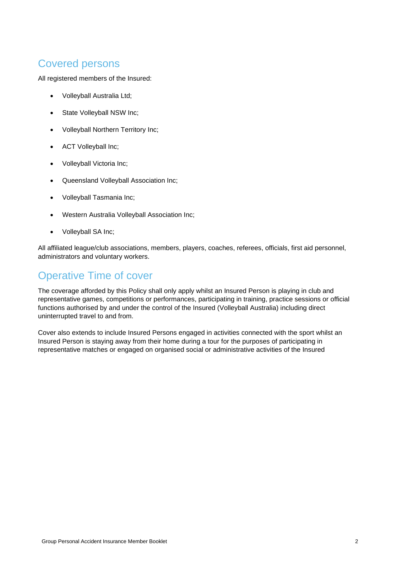## Covered persons

All registered members of the Insured:

- Volleyball Australia Ltd;
- State Volleyball NSW Inc;
- Volleyball Northern Territory Inc;
- ACT Volleyball Inc;
- Volleyball Victoria Inc;
- Queensland Volleyball Association Inc;
- Volleyball Tasmania Inc;
- Western Australia Volleyball Association Inc;
- Volleyball SA Inc;

All affiliated league/club associations, members, players, coaches, referees, officials, first aid personnel, administrators and voluntary workers.

## Operative Time of cover

The coverage afforded by this Policy shall only apply whilst an Insured Person is playing in club and representative games, competitions or performances, participating in training, practice sessions or official functions authorised by and under the control of the Insured (Volleyball Australia) including direct uninterrupted travel to and from.

Cover also extends to include Insured Persons engaged in activities connected with the sport whilst an Insured Person is staying away from their home during a tour for the purposes of participating in representative matches or engaged on organised social or administrative activities of the Insured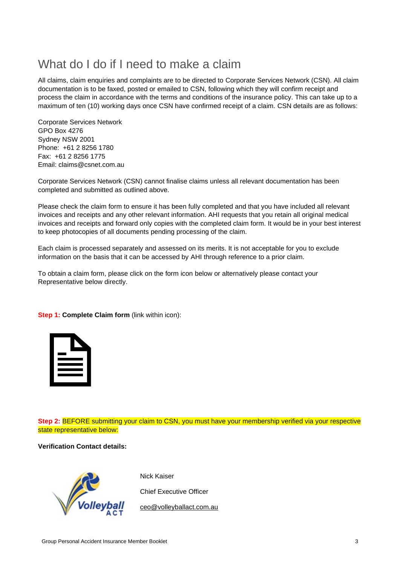## <span id="page-4-0"></span>What do I do if I need to make a claim

All claims, claim enquiries and complaints are to be directed to Corporate Services Network (CSN). All claim documentation is to be faxed, posted or emailed to CSN, following which they will confirm receipt and process the claim in accordance with the terms and conditions of the insurance policy. This can take up to a maximum of ten (10) working days once CSN have confirmed receipt of a claim. CSN details are as follows:

Corporate Services Network GPO Box 4276 Sydney NSW 2001 Phone: +61 2 8256 1780 Fax: +61 2 8256 1775 Email: claims@csnet.com.au

Corporate Services Network (CSN) cannot finalise claims unless all relevant documentation has been completed and submitted as outlined above.

Please check the claim form to ensure it has been fully completed and that you have included all relevant invoices and receipts and any other relevant information. AHI requests that you retain all original medical invoices and receipts and forward only copies with the completed claim form. It would be in your best interest to keep photocopies of all documents pending processing of the claim.

Each claim is processed separately and assessed on its merits. It is not acceptable for you to exclude information on the basis that it can be accessed by AHI through reference to a prior claim.

To obtain a claim form, please click on the form icon below or alternatively please contact your Representative below directly.

**Step 1: Complete Claim form (link within icon):** 

**Step 2:** BEFORE submitting your claim to CSN, you must have your membership verified via your respective state representative below:

**Verification Contact details:**



Nick Kaiser

Chief Executive Officer

[ceo@volleyballact.com.au](mailto:ceo@volleyballact.com.au)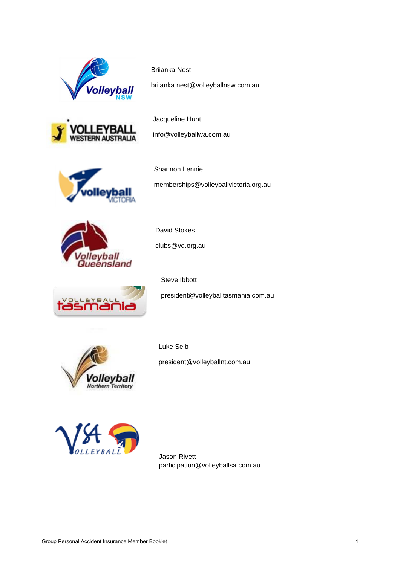

Briianka Nest

[briianka.nest@volleyballnsw.com.au](mailto:briianka.nest@volleyballnsw.com.au)



Jacqueline Hunt

info@volleyballwa.com.au



Shannon Lennie memberships@volleyballvictoria.org.au



David Stokes clubs@vq.org.au



Steve Ibbott

president@volleyballtasmania.com.au



Luke Seib president@volleyballnt.com.au



Jason Rivett participation@volleyballsa.com.au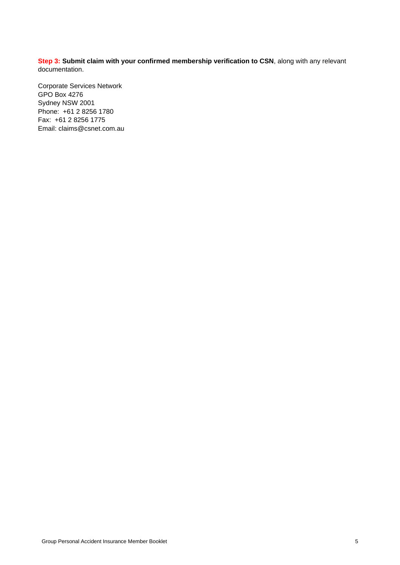**Step 3: Submit claim with your confirmed membership verification to CSN**, along with any relevant documentation.

Corporate Services Network GPO Box 4276 Sydney NSW 2001 Phone: +61 2 8256 1780 Fax: +61 2 8256 1775 Email: claims@csnet.com.au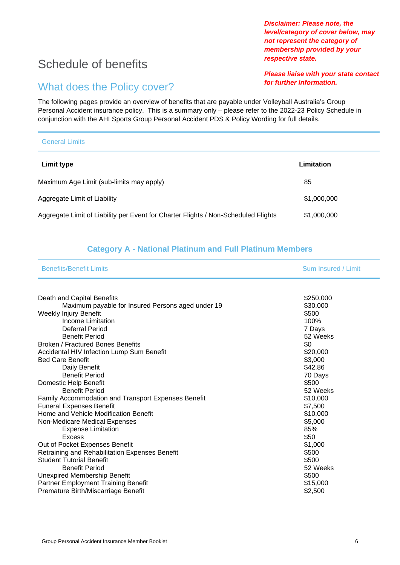## <span id="page-7-0"></span>Schedule of benefits

## What does the Policy cover?

The following pages provide an overview of benefits that are payable under Volleyball Australia's Group Personal Accident insurance policy. This is a summary only – please refer to the 2022-23 Policy Schedule in conjunction with the AHI Sports Group Personal Accident PDS & Policy Wording for full details.

| <b>General Limits</b>                                                              |             |  |
|------------------------------------------------------------------------------------|-------------|--|
| <b>Limit type</b>                                                                  | Limitation  |  |
| Maximum Age Limit (sub-limits may apply)                                           | 85          |  |
| Aggregate Limit of Liability                                                       | \$1,000,000 |  |
| Aggregate Limit of Liability per Event for Charter Flights / Non-Scheduled Flights | \$1,000,000 |  |

### **Category A - National Platinum and Full Platinum Members**

| <b>Benefits/Benefit Limits</b> | <b>Sum Insured / Limit</b> |
|--------------------------------|----------------------------|
|                                |                            |

| Death and Capital Benefits                                 | \$250,000 |
|------------------------------------------------------------|-----------|
| Maximum payable for Insured Persons aged under 19          | \$30,000  |
| Weekly Injury Benefit                                      | \$500     |
| <b>Income Limitation</b>                                   | 100%      |
| Deferral Period                                            | 7 Days    |
| <b>Benefit Period</b>                                      | 52 Weeks  |
| <b>Broken / Fractured Bones Benefits</b>                   | \$0       |
| Accidental HIV Infection Lump Sum Benefit                  | \$20,000  |
| <b>Bed Care Benefit</b>                                    | \$3,000   |
| Daily Benefit                                              | \$42.86   |
| <b>Benefit Period</b>                                      | 70 Days   |
| Domestic Help Benefit                                      | \$500     |
| <b>Benefit Period</b>                                      | 52 Weeks  |
| <b>Family Accommodation and Transport Expenses Benefit</b> | \$10,000  |
| <b>Funeral Expenses Benefit</b>                            | \$7,500   |
| Home and Vehicle Modification Benefit                      | \$10,000  |
| Non-Medicare Medical Expenses                              | \$5,000   |
| <b>Expense Limitation</b>                                  | 85%       |
| Excess                                                     | \$50      |
| Out of Pocket Expenses Benefit                             | \$1,000   |
| Retraining and Rehabilitation Expenses Benefit             | \$500     |
| <b>Student Tutorial Benefit</b>                            | \$500     |
| <b>Benefit Period</b>                                      | 52 Weeks  |
| <b>Unexpired Membership Benefit</b>                        | \$500     |
| <b>Partner Employment Training Benefit</b>                 | \$15,000  |
| Premature Birth/Miscarriage Benefit                        | \$2,500   |
|                                                            |           |

*level/category of cover below, may not represent the category of membership provided by your respective state.*

*for further information.*

*Please liaise with your state contact* 

*Disclaimer: Please note, the*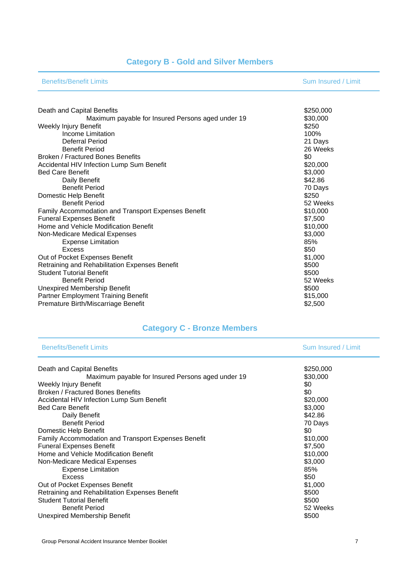## **Category B - Gold and Silver Members**

| <b>Benefits/Benefit Limits</b> | <b>Sum Insured / Limit</b> |
|--------------------------------|----------------------------|
|--------------------------------|----------------------------|

| Death and Capital Benefits                                 | \$250,000 |
|------------------------------------------------------------|-----------|
| Maximum payable for Insured Persons aged under 19          | \$30,000  |
| Weekly Injury Benefit                                      | \$250     |
| Income Limitation                                          | 100%      |
| Deferral Period                                            | 21 Days   |
| <b>Benefit Period</b>                                      | 26 Weeks  |
| <b>Broken / Fractured Bones Benefits</b>                   | \$0       |
| Accidental HIV Infection Lump Sum Benefit                  | \$20,000  |
| <b>Bed Care Benefit</b>                                    | \$3,000   |
| Daily Benefit                                              | \$42.86   |
| <b>Benefit Period</b>                                      | 70 Days   |
| Domestic Help Benefit                                      | \$250     |
| <b>Benefit Period</b>                                      | 52 Weeks  |
| <b>Family Accommodation and Transport Expenses Benefit</b> | \$10,000  |
| <b>Funeral Expenses Benefit</b>                            | \$7,500   |
| Home and Vehicle Modification Benefit                      | \$10,000  |
| Non-Medicare Medical Expenses                              | \$3,000   |
| <b>Expense Limitation</b>                                  | 85%       |
| Excess                                                     | \$50      |
| Out of Pocket Expenses Benefit                             | \$1,000   |
| Retraining and Rehabilitation Expenses Benefit             | \$500     |
| <b>Student Tutorial Benefit</b>                            | \$500     |
| <b>Benefit Period</b>                                      | 52 Weeks  |
| <b>Unexpired Membership Benefit</b>                        | \$500     |
| Partner Employment Training Benefit                        | \$15,000  |
| Premature Birth/Miscarriage Benefit                        | \$2,500   |
|                                                            |           |

## **Category C - Bronze Members**

| <b>Benefits/Benefit Limits</b>                             | Sum Insured / Limit |
|------------------------------------------------------------|---------------------|
| Death and Capital Benefits                                 | \$250,000           |
| Maximum payable for Insured Persons aged under 19          | \$30,000            |
| Weekly Injury Benefit                                      | \$0                 |
| <b>Broken / Fractured Bones Benefits</b>                   | \$0                 |
| Accidental HIV Infection Lump Sum Benefit                  | \$20,000            |
| <b>Bed Care Benefit</b>                                    | \$3,000             |
| Daily Benefit                                              | \$42.86             |
| <b>Benefit Period</b>                                      | 70 Days             |
| Domestic Help Benefit                                      | \$0                 |
| <b>Family Accommodation and Transport Expenses Benefit</b> | \$10,000            |
| <b>Funeral Expenses Benefit</b>                            | \$7,500             |
| Home and Vehicle Modification Benefit                      | \$10,000            |
| Non-Medicare Medical Expenses                              | \$3,000             |
| <b>Expense Limitation</b>                                  | 85%                 |
| Excess                                                     | \$50                |
| Out of Pocket Expenses Benefit                             | \$1,000             |
| Retraining and Rehabilitation Expenses Benefit             | \$500               |
| <b>Student Tutorial Benefit</b>                            | \$500               |
| <b>Benefit Period</b>                                      | 52 Weeks            |
| Unexpired Membership Benefit                               | \$500               |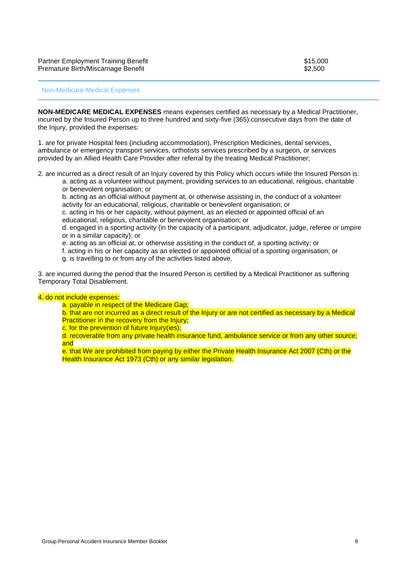#### Non-Medicare Medical Expenses

**NON-MEDICARE MEDICAL EXPENSES** means expenses certified as necessary by a Medical Practitioner, incurred by the Insured Person up to three hundred and sixty-five (365) consecutive days from the date of the Injury, provided the expenses:

1. are for private Hospital fees (including accommodation), Prescription Medicines, dental services, ambulance or emergency transport services, orthotists services prescribed by a surgeon, or services provided by an Allied Health Care Provider after referral by the treating Medical Practitioner;

2. are incurred as a direct result of an Injury covered by this Policy which occurs while the Insured Person is:

a. acting as a volunteer without payment, providing services to an educational, religious, charitable or benevolent organisation; or

b. acting as an official without payment at, or otherwise assisting in, the conduct of a volunteer activity for an educational, religious, charitable or benevolent organisation; or

c. acting in his or her capacity, without payment, as an elected or appointed official of an educational, religious, charitable or benevolent organisation; or

d. engaged in a sporting activity (in the capacity of a participant, adjudicator, judge, referee or umpire or in a similar capacity); or

e. acting as an official at, or otherwise assisting in the conduct of, a sporting activity; or

f. acting in his or her capacity as an elected or appointed official of a sporting organisation; or

g. is travelling to or from any of the activities listed above.

3. are incurred during the period that the Insured Person is certified by a Medical Practitioner as suffering Temporary Total Disablement.

#### 4. do not include expenses:

a. payable in respect of the Medicare Gap;

b. that are not incurred as a direct result of the Injury or are not certified as necessary by a Medical **Practitioner in the recovery from the Injury:** 

c. for the prevention of future Injury(ies);

d. recoverable from any private health insurance fund, ambulance service or from any other source; and

e. that We are prohibited from paying by either the Private Health Insurance Act 2007 (Cth) or the Health Insurance Act 1973 (Cth) or any similar legislation.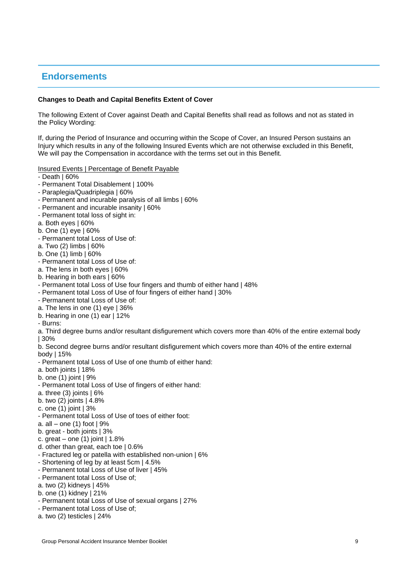### **Endorsements**

### **Changes to Death and Capital Benefits Extent of Cover**

The following Extent of Cover against Death and Capital Benefits shall read as follows and not as stated in the Policy Wording:

If, during the Period of Insurance and occurring within the Scope of Cover, an Insured Person sustains an Injury which results in any of the following Insured Events which are not otherwise excluded in this Benefit, We will pay the Compensation in accordance with the terms set out in this Benefit.

### Insured Events | Percentage of Benefit Payable

- Death | 60%
- Permanent Total Disablement | 100%
- Paraplegia/Quadriplegia | 60%
- Permanent and incurable paralysis of all limbs | 60%
- Permanent and incurable insanity | 60%
- Permanent total loss of sight in:
- a. Both eyes | 60%
- b. One (1) eye | 60%
- Permanent total Loss of Use of:
- a. Two (2) limbs | 60%
- b. One (1) limb | 60%
- Permanent total Loss of Use of:
- a. The lens in both eyes | 60%
- b. Hearing in both ears | 60%
- Permanent total Loss of Use four fingers and thumb of either hand | 48%
- Permanent total Loss of Use of four fingers of either hand | 30%
- Permanent total Loss of Use of:
- a. The lens in one (1) eye | 36%
- b. Hearing in one (1) ear | 12%
- Burns:

a. Third degree burns and/or resultant disfigurement which covers more than 40% of the entire external body | 30%

b. Second degree burns and/or resultant disfigurement which covers more than 40% of the entire external body | 15%

- Permanent total Loss of Use of one thumb of either hand:
- a. both joints | 18%
- b. one (1) joint | 9%
- Permanent total Loss of Use of fingers of either hand:
- a. three  $(3)$  joints  $| 6\%$
- b. two (2) joints | 4.8%
- c. one (1) joint | 3%
- Permanent total Loss of Use of toes of either foot:
- a. all one  $(1)$  foot  $19%$
- b. great both joints | 3%
- c. great one  $(1)$  joint  $| 1.8\%$
- d. other than great, each toe | 0.6%
- Fractured leg or patella with established non-union | 6%
- Shortening of leg by at least 5cm | 4.5%
- Permanent total Loss of Use of liver | 45%
- Permanent total Loss of Use of;
- a. two (2) kidneys | 45%
- b. one (1) kidney | 21%
- Permanent total Loss of Use of sexual organs | 27%
- Permanent total Loss of Use of;
- a. two (2) testicles | 24%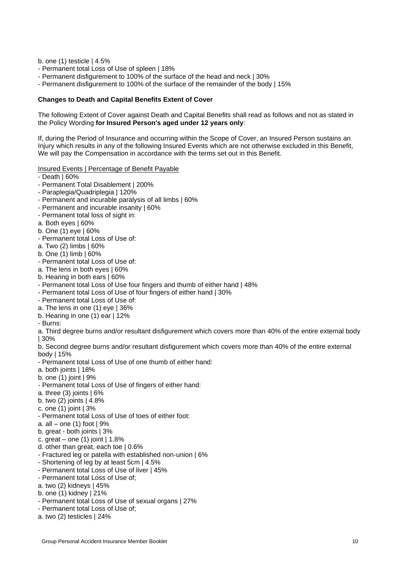b. one (1) testicle | 4.5%

- Permanent total Loss of Use of spleen | 18%
- Permanent disfigurement to 100% of the surface of the head and neck | 30%
- Permanent disfigurement to 100% of the surface of the remainder of the body | 15%

### **Changes to Death and Capital Benefits Extent of Cover**

The following Extent of Cover against Death and Capital Benefits shall read as follows and not as stated in the Policy Wording **for Insured Person's aged under 12 years only**:

If, during the Period of Insurance and occurring within the Scope of Cover, an Insured Person sustains an Injury which results in any of the following Insured Events which are not otherwise excluded in this Benefit, We will pay the Compensation in accordance with the terms set out in this Benefit.

Insured Events | Percentage of Benefit Payable

- Death | 60%
- Permanent Total Disablement | 200%
- Paraplegia/Quadriplegia | 120%
- Permanent and incurable paralysis of all limbs | 60%
- Permanent and incurable insanity | 60%
- Permanent total loss of sight in:
- a. Both eyes | 60%
- b. One (1) eye | 60%
- Permanent total Loss of Use of:
- a. Two (2) limbs | 60%
- b. One (1) limb | 60%
- Permanent total Loss of Use of:
- a. The lens in both eyes | 60%
- b. Hearing in both ears | 60%
- Permanent total Loss of Use four fingers and thumb of either hand | 48%
- Permanent total Loss of Use of four fingers of either hand | 30%
- Permanent total Loss of Use of:
- a. The lens in one (1) eye | 36%
- b. Hearing in one (1) ear | 12%
- Burns:

a. Third degree burns and/or resultant disfigurement which covers more than 40% of the entire external body | 30%

b. Second degree burns and/or resultant disfigurement which covers more than 40% of the entire external body | 15%

- Permanent total Loss of Use of one thumb of either hand:
- a. both joints | 18%
- b. one (1) joint | 9%
- Permanent total Loss of Use of fingers of either hand:
- a. three  $(3)$  joints  $| 6\%$
- b. two  $(2)$  joints  $|4.8\%$
- c. one  $(1)$  joint  $| 3\%$
- Permanent total Loss of Use of toes of either foot:
- a. all one  $(1)$  foot  $19%$
- b. great both joints | 3%
- c. great one  $(1)$  joint  $| 1.8\%$
- d. other than great, each toe | 0.6%
- Fractured leg or patella with established non-union | 6%
- Shortening of leg by at least 5cm | 4.5%
- Permanent total Loss of Use of liver | 45%
- Permanent total Loss of Use of;
- a. two (2) kidneys | 45%
- b. one (1) kidney | 21%
- Permanent total Loss of Use of sexual organs | 27%
- Permanent total Loss of Use of;
- a. two (2) testicles | 24%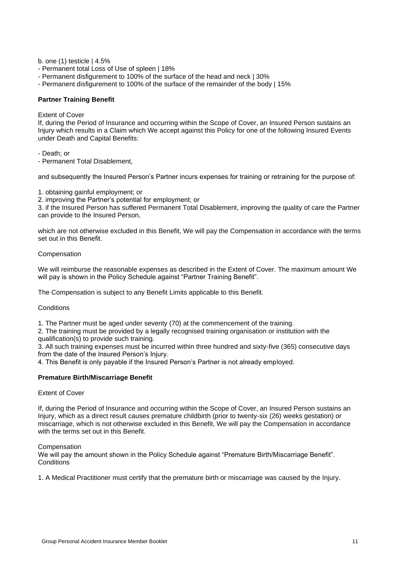b. one (1) testicle | 4.5%

- Permanent total Loss of Use of spleen | 18%
- Permanent disfigurement to 100% of the surface of the head and neck | 30%
- Permanent disfigurement to 100% of the surface of the remainder of the body | 15%

### **Partner Training Benefit**

Extent of Cover

If, during the Period of Insurance and occurring within the Scope of Cover, an Insured Person sustains an Injury which results in a Claim which We accept against this Policy for one of the following Insured Events under Death and Capital Benefits:

- Death; or

- Permanent Total Disablement,

and subsequently the Insured Person's Partner incurs expenses for training or retraining for the purpose of:

1. obtaining gainful employment; or

2. improving the Partner's potential for employment; or

3. if the Insured Person has suffered Permanent Total Disablement, improving the quality of care the Partner can provide to the Insured Person,

which are not otherwise excluded in this Benefit, We will pay the Compensation in accordance with the terms set out in this Benefit.

#### Compensation

We will reimburse the reasonable expenses as described in the Extent of Cover. The maximum amount We will pay is shown in the Policy Schedule against "Partner Training Benefit".

The Compensation is subject to any Benefit Limits applicable to this Benefit.

**Conditions** 

1. The Partner must be aged under seventy (70) at the commencement of the training.

2. The training must be provided by a legally recognised training organisation or institution with the qualification(s) to provide such training.

3. All such training expenses must be incurred within three hundred and sixty-five (365) consecutive days from the date of the Insured Person's Injury.

4. This Benefit is only payable if the Insured Person's Partner is not already employed.

#### **Premature Birth/Miscarriage Benefit**

### Extent of Cover

If, during the Period of Insurance and occurring within the Scope of Cover, an Insured Person sustains an Injury, which as a direct result causes premature childbirth (prior to twenty-six (26) weeks gestation) or miscarriage, which is not otherwise excluded in this Benefit, We will pay the Compensation in accordance with the terms set out in this Benefit.

#### **Compensation**

We will pay the amount shown in the Policy Schedule against "Premature Birth/Miscarriage Benefit". **Conditions** 

1. A Medical Practitioner must certify that the premature birth or miscarriage was caused by the Injury.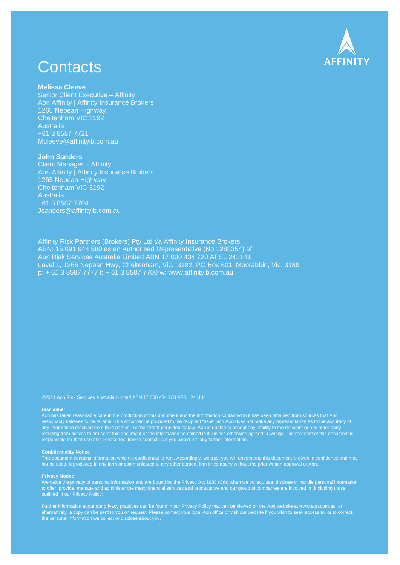

## **Contacts**

#### **Melissa Cleeve**

Senior Client Executive – Affinity Aon Affinity | Affinity Insurance Brokers 1265 Nepean Highway, Cheltenham VIC 3192 Australia +61 3 8587 7721 [Mcleeve@affinityib.com.au](mailto:Mcleeve@affinityib.com.au)

#### **John Sanders**

Client Manager – Affinity Aon Affinity | Affinity Insurance Brokers 1265 Nepean Highway, Cheltenham VIC 3192 Australia +61 3 8587 7704 Jsanders@affinityib.com.au

Affinity Risk Partners (Brokers) Pty Ltd t/a Affinity Insurance Brokers ABN: 15 091 944 580 as an Authorised Representative (No 1288354) of Aon Risk Services Australia Limited ABN 17 000 434 720 AFSL 241141 Level 1, 1265 Nepean Hwy, Cheltenham, Vic. 3192, PO Box 601, Moorabbin, Vic. 3189 p: + 61 3 8587 7777 f: + 61 3 8587 7700 w: [www.affinityib.com.au](http://www.affinityib.com.au/)

#### **Disclaimer**

reasonably believes to be reliable. This document is provided to the recipient "as is" and Aon does not make any representation as to the accuracy of any information received from third parties. To the extent permitted by law, Aon is unable to accept any liability to the recipient or any other party resulting from access to or use of this document or the information contained in it, unless otherwise agreed in writing. The recipient of this document is responsible for their use of it. Please feel free to contact us if you would like any further information.

#### **Confidentiality Notice**

This document contains information which is confidential to Aon. Accordingly, we trust you will understand this document is given in confidence and may

#### **Privacy Notice**

We value the privacy of personal information and are bound by the Privacy Act 1988 (Cth) when we collect, use, disclose or handle personal information to offer, provide, manage and administer the many financial services and products we and our group of companies are involved in (including those

Further information about our privacy practices can be found in our Privacy Policy that can be viewed on the Aon website at [www.aon.com.au](http://www.aon.com.au/) or alternatively, a copy can be sent to you on request. Please contact your local Aon office or visit our website if you wish to seek access to, or to correct, the personal information we collect or disclose about you.